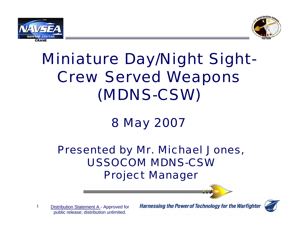



# Miniature Day/Night Sight-Crew Served Weapons (MDNS-CSW)

## 8 May 2007

#### Presented by Mr. Michael Jones, USSOCOM MDNS-CSW Project Manager

1 Distribution Statement A - Approved for public release; distribution unlimited.

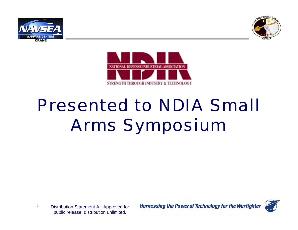





# Presented to NDIA Small Arms Symposium

2Distribution Statement A - Approved for public release; distribution unlimited.

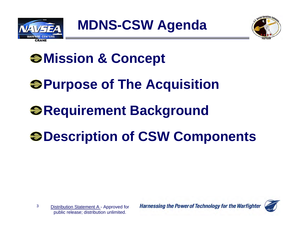



# $\bigcirc$  **Mission & Concept**

# **Purpose of The Acquisition**

# *<b>@Requirement Background*

# $\bullet$  **Description of CSW Components**

3 Distribution Statement A - Approved for public release; distribution unlimited.

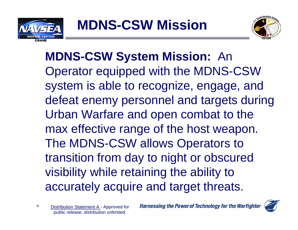



**MDNS-CSW System Mission:** An Operator equipped with the MDNS-CSW system is able to recognize, engage, and defeat enemy personnel and targets during Urban Warfare and open combat to the max effective range of the host weapon. The MDNS-CSW allows Operators to transition from day to night or obscured visibility while retaining the ability to accurately acquire and target threats.

4 Distribution Statement A - Approved for public release; distribution unlimited.

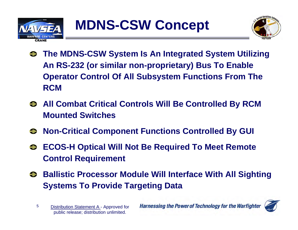



- **The MDNS-CSW System Is An Integrated System Utilizing An RS-232 (or similar non-proprietary) Bus To Enable Operator Control Of All Subsystem Functions From The RCM**
- $\bullet$  **All Combat Critical Controls Will Be Controlled By RCM Mounted Switches**
- **Non-Critical Component Functions Controlled By GUI**
- **ECOS-H Optical Will Not Be Required To Meet Remote Control Requirement**
- **Ballistic Processor Module Will Interface With All Sighting Systems To Provide Targeting Data**



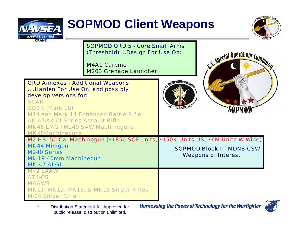

#### **SOPMOD Client Weapons**



SOPMOD ORD 5 - Core Small Arms(Threshold) …Design For Use On:

M4A1 CarbineM203 Grenade Launcher

| <b>ORD Annexes - Additional Weapons</b> |
|-----------------------------------------|
| Harden For Use On, and possibly         |
| develop versions for:                   |
| <b>SCAR</b>                             |

CQBR (Mark 18) M14 and Mark 14 Enhanced Battle RifleAK-47/AK74 Series Assault RifleMK46 LMG / M249 SAW Machineguns





| M2-HB .50 Cal Machinegun (~1850 SOF units, ~150K Units US, ~6M Units W-Wide) |                             |
|------------------------------------------------------------------------------|-----------------------------|
| <b>MK44 Minigun</b>                                                          | $\blacksquare$<br>AARIAR BL |

SOPMOD Block III MDNS-CSW Weapons of Interest

M240 SeriesMk-19 40mm Machinegun

MK48Machineguns

MK-47 ALGL

M72 LAAW

AT4-CS

MAAWS

MK11, MK12, MK13, & MK15 Sniper Rifles

M-24 Sniper Rifle

6Distribution Statement A - Approved for public release; distribution unlimited.

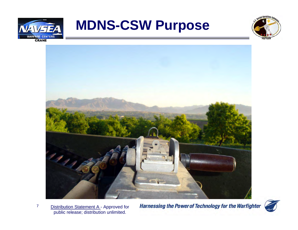





7 Distribution Statement A - Approved for public release; distribution unlimited.

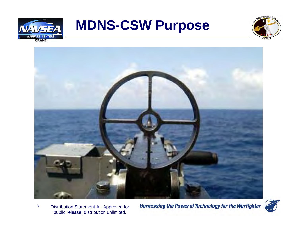





8Distribution Statement A - Approved for public release; distribution unlimited.

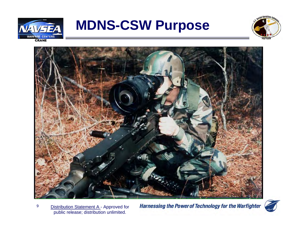





9Distribution Statement A - Approved for public release; distribution unlimited.

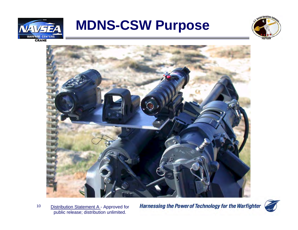





10Distribution Statement A - Approved for public release; distribution unlimited.

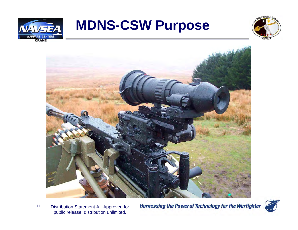





11Distribution Statement A - Approved for public release; distribution unlimited.

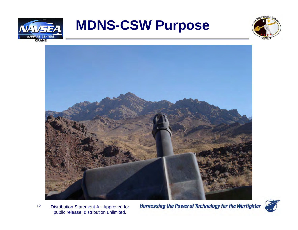





12Distribution Statement A - Approved for public release; distribution unlimited.

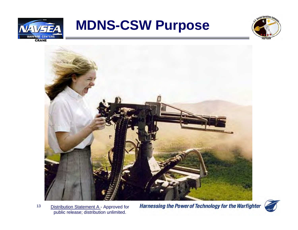





13Distribution Statement A - Approved for public release; distribution unlimited.

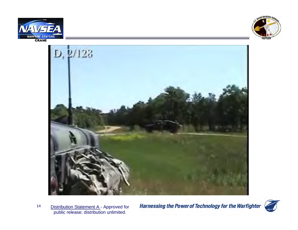





14Distribution Statement A - Approved for public release; distribution unlimited.

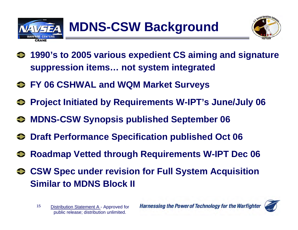



- **1990's to 2005 various expedient CS aiming and signature suppression items… not system integrated**
- **FY 06 CSHWAL and WQM Market Surveys**
- **Project Initiated by Requirements W-IPT's June/July 06**
- **MDNS-CSW Synopsis published September 06**
- $\bullet$  **Draft Performance Specification published Oct 06**
- **Roadmap Vetted through Requirements W-IPT Dec 06**
- **CSW Spec under revision for Full System Acquisition Similar to MDNS Block II**
	- 15 Distribution Statement A - Approved for public release; distribution unlimited.

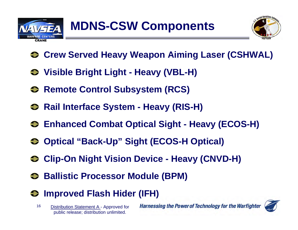



- **Crew Served Heavy Weapon Aiming Laser (CSHWAL)**
- **Visible Bright Light - Heavy (VBL-H)**
- $\bullet$  **Remote Control Subsystem (RCS)**
- **←** Rail Interface System Heavy (RIS-H)
- Enhanced Combat Optical Sight Heavy (ECOS-H)
- Optical "Back-Up" Sight (ECOS-H Optical)
- **Clip-On Night Vision Device - Heavy (CNVD-H)**
- **Ballistic Processor Module (BPM)**
- **<sup>●</sup> Improved Flash Hider (IFH)** 
	- 16 Distribution Statement A - Approved for public release; distribution unlimited.

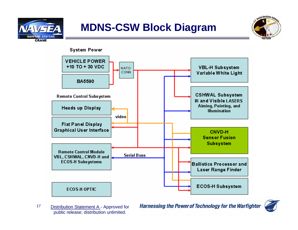





17Distribution Statement A - Approved for public release; distribution unlimited.

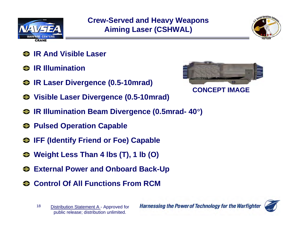

#### **Crew-Served and Heavy Weapons Aiming Laser (CSHWAL)**



- **IR And Visible Laser**
- **IR Illumination**
- **IR Laser Divergence (0.5-10mrad)**



- **Visible Laser Divergence (0.5-10mrad)**
- **IR Illumination Beam Divergence (0.5mrad- 40**°**)**
- **Pulsed Operation Capable**
- **IFF (Identify Friend or Foe) Capable**
- **Weight Less Than 4 lbs (T), 1 lb (O)**
- **External Power and Onboard Back-Up**
- **← Control Of All Functions From RCM**

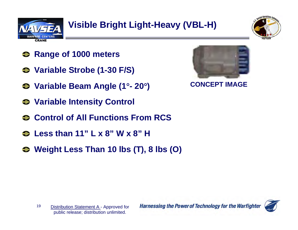



- **Range of 1000 meters**
- **Variable Strobe (1-30 F/S)**
- **Variable Beam Angle (1**°**- 20**°**)**
- **Variable Intensity Control**
- **← Control of All Functions From RCS**
- **Less than 11" L x 8" W x 8" H**
- **Weight Less Than 10 lbs (T), 8 lbs (O)**



**CONCEPT IMAGE**

19 Distribution Statement A - Approved for public release; distribution unlimited.

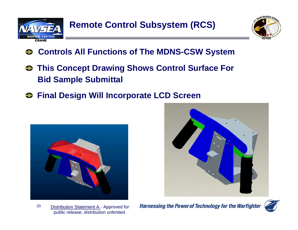



- **Controls All Functions of The MDNS-CSW System**
- **This Concept Drawing Shows Control Surface For Bid Sample Submittal**
- $\bullet$  **Final Design Will Incorporate LCD Screen**







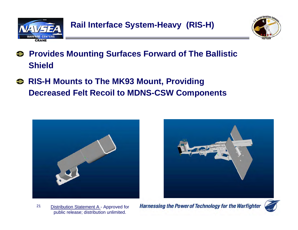



- **Provides Mounting Surfaces Forward of The Ballistic Shield**
- **RIS-H Mounts to The MK93 Mount, Providing Decreased Felt Recoil to MDNS-CSW Components**





21Distribution Statement A - Approved for public release; distribution unlimited.

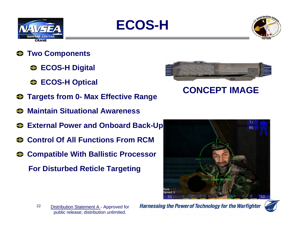





- **Two Components** €
	- **ECOS-H Digital**
	- **ECOS-H Optical**
- **Targets from 0- Max Effective Range**
- **Maintain Situational Awareness**
- **External Power and Onboard Back-Up**
- **← Control Of All Functions From RCM**
- **<sup>●</sup> Compatible With Ballistic Processor For Disturbed Reticle Targeting**



**CONCEPT IMAGE**



22 Distribution Statement A - Approved for public release; distribution unlimited.

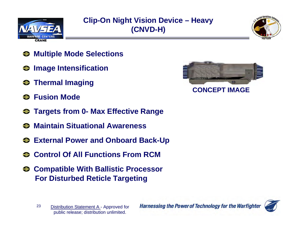

#### **Clip-On Night Vision Device – Heavy (CNVD-H)**



- **Multiple Mode Selections**
- $\Theta$  Image Intensification
- $\bullet$  Thermal Imaging
- **Fusion Mode** $\bullet$
- **← Targets from 0- Max Effective Range**
- **Maintain Situational Awareness**
- **External Power and Onboard Back-Up**
- **Control Of All Functions From RCM**
- **Compatible With Ballistic Processor For Disturbed Reticle Targeting**





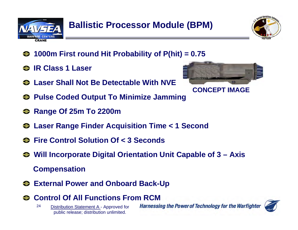



- **1000m First round Hit Probability of P(hit) = 0.75**
- **IR Class 1 Laser**
- **Laser Shall Not Be Detectable With NVE**
- **Pulse Coded Output To Minimize Jamming**
- **Range Of 25m To 2200m**
- **Laser Range Finder Acquisition Time < 1 Second**
- **Fire Control Solution Of < 3 Seconds**
- **Will Incorporate Digital Orientation Unit Capable of 3 – Axis Compensation**
- **External Power and Onboard Back-Up**
- **Control Of All Functions From RCM**
	- 24 Distribution Statement A - Approved for public release; distribution unlimited.



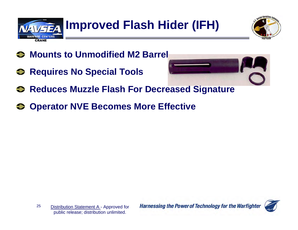

ocial Operations Co.

- **Mounts to Unmodified M2 Barrel**
- $\bullet$  **Requires No Special Tools**



- **<b>Reduces Muzzle Flash For Decreased Signature**
- **Operator NVE Becomes More Effective**

25 Distribution Statement A - Approved for public release; distribution unlimited.

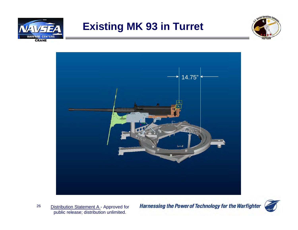

#### **Existing MK 93 in Turret**





26Distribution Statement A - Approved for public release; distribution unlimited.

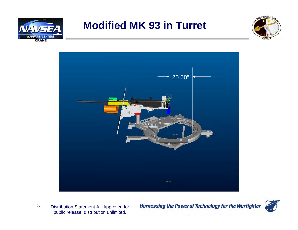

#### **Modified MK 93 in Turret**





27Distribution Statement A - Approved for public release; distribution unlimited.

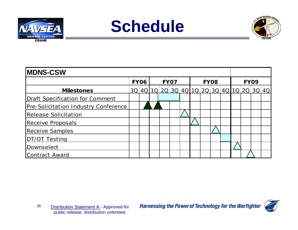

# **Schedule**



| <b>IMDNS-CSW</b>                     |             |  |             |  |  |             |  |  |  |             |  |  |                                           |  |
|--------------------------------------|-------------|--|-------------|--|--|-------------|--|--|--|-------------|--|--|-------------------------------------------|--|
|                                      | <b>FY06</b> |  | <b>FY07</b> |  |  | <b>FY08</b> |  |  |  | <b>FY09</b> |  |  |                                           |  |
| <b>Milestones</b>                    |             |  |             |  |  |             |  |  |  |             |  |  | 3Q 4Q 1Q 2Q 3Q 4Q 1Q 2Q 3Q 4Q 1Q 2Q 3Q 4Q |  |
| Draft Specification for Comment      |             |  |             |  |  |             |  |  |  |             |  |  |                                           |  |
| Pre-Solicitation Industry Conference |             |  |             |  |  |             |  |  |  |             |  |  |                                           |  |
| <b>Release Solicitation</b>          |             |  |             |  |  |             |  |  |  |             |  |  |                                           |  |
| Receive Proposals                    |             |  |             |  |  |             |  |  |  |             |  |  |                                           |  |
| <b>Receive Samples</b>               |             |  |             |  |  |             |  |  |  |             |  |  |                                           |  |
| <b>DT/OT Testing</b>                 |             |  |             |  |  |             |  |  |  |             |  |  |                                           |  |
| Downselect                           |             |  |             |  |  |             |  |  |  |             |  |  |                                           |  |
| <b>Contract Award</b>                |             |  |             |  |  |             |  |  |  |             |  |  |                                           |  |

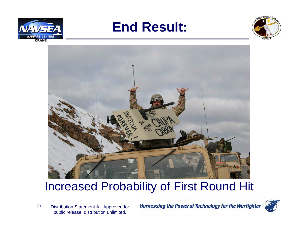

#### **End Result:**





#### Increased Probability of First Round Hit

29Distribution Statement A - Approved for public release; distribution unlimited.